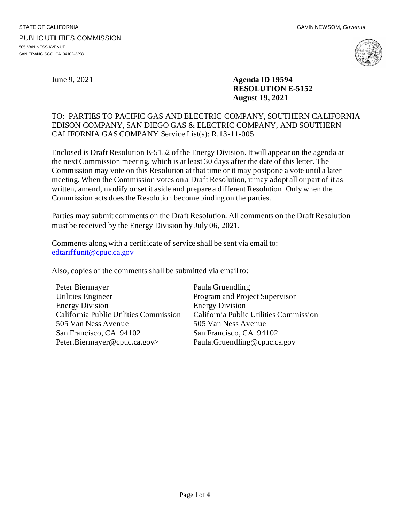#### PUBLIC UTILITIES COMMISSION 505 VAN NESS AVENUE SAN FRANCISCO, CA 94102-3298



June 9, 2021 **Agenda ID 19594 RESOLUTION E-5152 August 19, 2021**

# TO: PARTIES TO PACIFIC GAS AND ELECTRIC COMPANY, SOUTHERN CALIFORNIA EDISON COMPANY, SAN DIEGO GAS & ELECTRIC COMPANY, AND SOUTHERN CALIFORNIA GAS COMPANY Service List(s): R.13-11-005

Enclosed is Draft Resolution E-5152 of the Energy Division.It will appear on the agenda at the next Commission meeting, which is at least 30 days after the date of this letter. The Commission may vote on this Resolution at that time or it may postpone a vote until a later meeting. When the Commission votes on a Draft Resolution, it may adopt all or part of it as written, amend, modify or set it aside and prepare a different Resolution. Only when the Commission acts does the Resolution become binding on the parties.

Parties may submit comments on the Draft Resolution. All comments on the Draft Resolution must be received by the Energy Division by July 06, 2021.

Comments along with a certificate of service shall be sent via email to: [edtariffunit@cpuc.ca.gov](mailto:edtariffunit@cpuc.ca.gov)

Also, copies of the comments shall be submitted via email to:

Peter Biermayer Utilities Engineer Energy Division California Public Utilities Commission 505 Van Ness Avenue San Francisco, CA 94102 Peter.Biermayer@cpuc.ca.gov>

Paula Gruendling Program and Project Supervisor Energy Division California Public Utilities Commission 505 Van Ness Avenue San Francisco, CA 94102 Paula.Gruendling@cpuc.ca.gov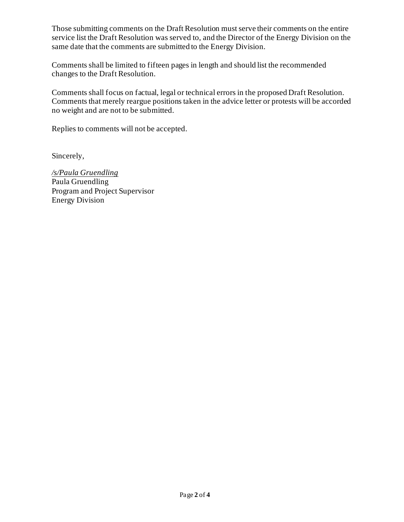Those submitting comments on the Draft Resolution must serve their comments on the entire service list the Draft Resolution was served to, and the Director of the Energy Division on the same date that the comments are submitted to the Energy Division.

Comments shall be limited to fifteen pages in length and should list the recommended changes to the Draft Resolution.

Comments shall focus on factual, legal or technical errors in the proposed Draft Resolution. Comments that merely reargue positions taken in the advice letter or protests will be accorded no weight and are not to be submitted.

Replies to comments will not be accepted.

Sincerely,

*/s/Paula Gruendling* Paula Gruendling Program and Project Supervisor Energy Division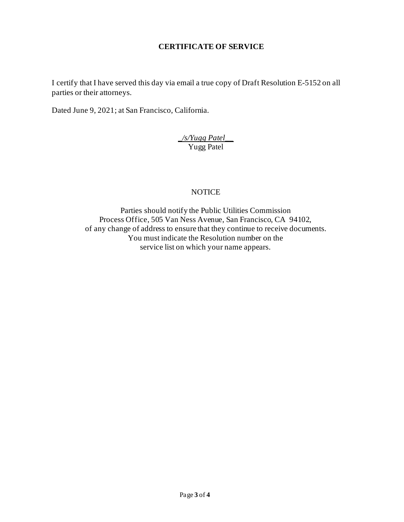# **CERTIFICATE OF SERVICE**

I certify that I have served this day via email a true copy of Draft Resolution E-5152 on all parties or their attorneys.

Dated June 9, 2021; at San Francisco, California.

*\_/s/Yugg Patel\_\_* Yugg Patel

# **NOTICE**

Parties should notify the Public Utilities Commission Process Office, 505 Van Ness Avenue, San Francisco, CA 94102, of any change of address to ensure that they continue to receive documents. You must indicate the Resolution number on the service list on which your name appears.